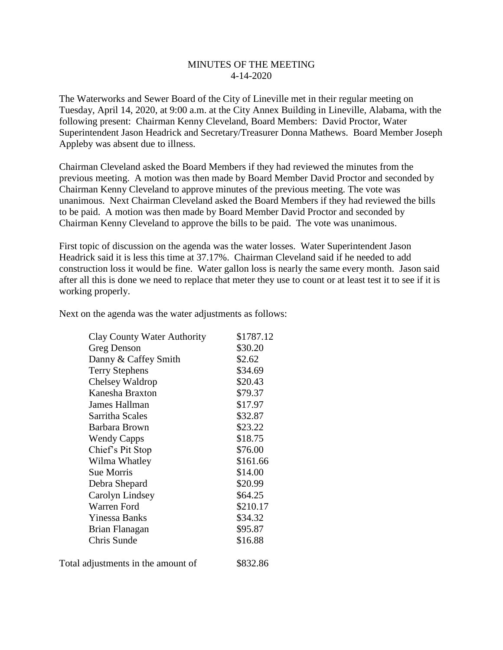## MINUTES OF THE MEETING 4-14-2020

The Waterworks and Sewer Board of the City of Lineville met in their regular meeting on Tuesday, April 14, 2020, at 9:00 a.m. at the City Annex Building in Lineville, Alabama, with the following present: Chairman Kenny Cleveland, Board Members: David Proctor, Water Superintendent Jason Headrick and Secretary/Treasurer Donna Mathews. Board Member Joseph Appleby was absent due to illness.

Chairman Cleveland asked the Board Members if they had reviewed the minutes from the previous meeting. A motion was then made by Board Member David Proctor and seconded by Chairman Kenny Cleveland to approve minutes of the previous meeting. The vote was unanimous. Next Chairman Cleveland asked the Board Members if they had reviewed the bills to be paid. A motion was then made by Board Member David Proctor and seconded by Chairman Kenny Cleveland to approve the bills to be paid. The vote was unanimous.

First topic of discussion on the agenda was the water losses. Water Superintendent Jason Headrick said it is less this time at 37.17%. Chairman Cleveland said if he needed to add construction loss it would be fine. Water gallon loss is nearly the same every month. Jason said after all this is done we need to replace that meter they use to count or at least test it to see if it is working properly.

Next on the agenda was the water adjustments as follows:

| Clay County Water Authority | \$1787.12 |
|-----------------------------|-----------|
| Greg Denson                 | \$30.20   |
| Danny & Caffey Smith        | \$2.62    |
| <b>Terry Stephens</b>       | \$34.69   |
| Chelsey Waldrop             | \$20.43   |
| Kanesha Braxton             | \$79.37   |
| James Hallman               | \$17.97   |
| Sarritha Scales             | \$32.87   |
| Barbara Brown               | \$23.22   |
| <b>Wendy Capps</b>          | \$18.75   |
| Chief's Pit Stop            | \$76.00   |
| Wilma Whatley               | \$161.66  |
| <b>Sue Morris</b>           | \$14.00   |
| Debra Shepard               | \$20.99   |
| Carolyn Lindsey             | \$64.25   |
| Warren Ford                 | \$210.17  |
| Yinessa Banks               | \$34.32   |
| Brian Flanagan              | \$95.87   |
| Chris Sunde                 | \$16.88   |
|                             |           |

Total adjustments in the amount of \$832.86